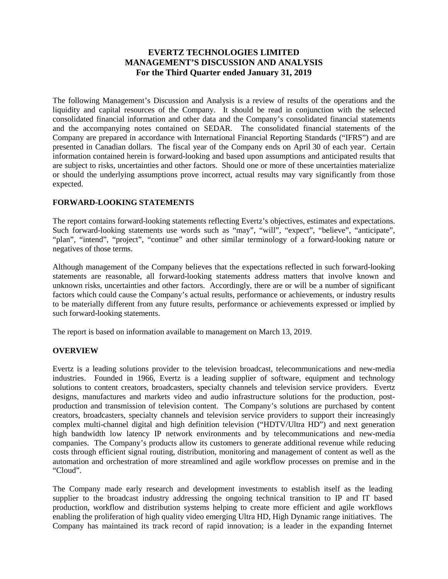# **EVERTZ TECHNOLOGIES LIMITED MANAGEMENT'S DISCUSSION AND ANALYSIS For the Third Quarter ended January 31, 2019**

The following Management's Discussion and Analysis is a review of results of the operations and the liquidity and capital resources of the Company. It should be read in conjunction with the selected consolidated financial information and other data and the Company's consolidated financial statements and the accompanying notes contained on SEDAR. The consolidated financial statements of the Company are prepared in accordance with International Financial Reporting Standards ("IFRS") and are presented in Canadian dollars. The fiscal year of the Company ends on April 30 of each year. Certain information contained herein is forward-looking and based upon assumptions and anticipated results that are subject to risks, uncertainties and other factors. Should one or more of these uncertainties materialize or should the underlying assumptions prove incorrect, actual results may vary significantly from those expected.

# **FORWARD-LOOKING STATEMENTS**

The report contains forward-looking statements reflecting Evertz's objectives, estimates and expectations. Such forward-looking statements use words such as "may", "will", "expect", "believe", "anticipate", "plan", "intend", "project", "continue" and other similar terminology of a forward-looking nature or negatives of those terms.

Although management of the Company believes that the expectations reflected in such forward-looking statements are reasonable, all forward-looking statements address matters that involve known and unknown risks, uncertainties and other factors. Accordingly, there are or will be a number of significant factors which could cause the Company's actual results, performance or achievements, or industry results to be materially different from any future results, performance or achievements expressed or implied by such forward-looking statements.

The report is based on information available to management on March 13, 2019.

# **OVERVIEW**

Evertz is a leading solutions provider to the television broadcast, telecommunications and new-media industries. Founded in 1966, Evertz is a leading supplier of software, equipment and technology solutions to content creators, broadcasters, specialty channels and television service providers. Evertz designs, manufactures and markets video and audio infrastructure solutions for the production, postproduction and transmission of television content. The Company's solutions are purchased by content creators, broadcasters, specialty channels and television service providers to support their increasingly complex multi-channel digital and high definition television ("HDTV/Ultra HD") and next generation high bandwidth low latency IP network environments and by telecommunications and new-media companies. The Company's products allow its customers to generate additional revenue while reducing costs through efficient signal routing, distribution, monitoring and management of content as well as the automation and orchestration of more streamlined and agile workflow processes on premise and in the "Cloud".

The Company made early research and development investments to establish itself as the leading supplier to the broadcast industry addressing the ongoing technical transition to IP and IT based production, workflow and distribution systems helping to create more efficient and agile workflows enabling the proliferation of high quality video emerging Ultra HD, High Dynamic range initiatives. The Company has maintained its track record of rapid innovation; is a leader in the expanding Internet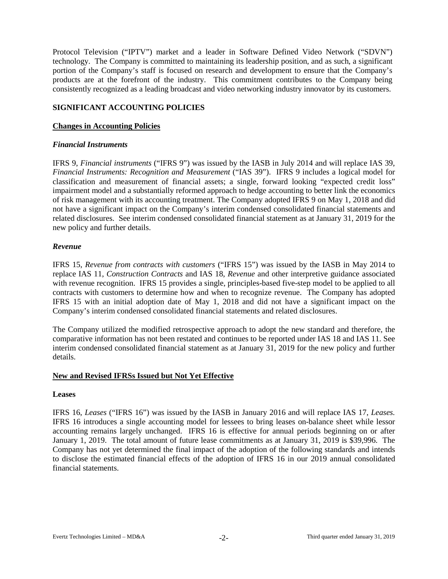Protocol Television ("IPTV") market and a leader in Software Defined Video Network ("SDVN") technology. The Company is committed to maintaining its leadership position, and as such, a significant portion of the Company's staff is focused on research and development to ensure that the Company's products are at the forefront of the industry. This commitment contributes to the Company being consistently recognized as a leading broadcast and video networking industry innovator by its customers.

#### **SIGNIFICANT ACCOUNTING POLICIES**

#### **Changes in Accounting Policies**

#### *Financial Instruments*

IFRS 9, *Financial instruments* ("IFRS 9") was issued by the IASB in July 2014 and will replace IAS 39, *Financial Instruments: Recognition and Measurement* ("IAS 39"). IFRS 9 includes a logical model for classification and measurement of financial assets; a single, forward looking "expected credit loss" impairment model and a substantially reformed approach to hedge accounting to better link the economics of risk management with its accounting treatment. The Company adopted IFRS 9 on May 1, 2018 and did not have a significant impact on the Company's interim condensed consolidated financial statements and related disclosures. See interim condensed consolidated financial statement as at January 31, 2019 for the new policy and further details.

#### *Revenue*

IFRS 15, *Revenue from contracts with customers* ("IFRS 15") was issued by the IASB in May 2014 to replace IAS 11, *Construction Contracts* and IAS 18, *Revenue* and other interpretive guidance associated with revenue recognition. IFRS 15 provides a single, principles-based five-step model to be applied to all contracts with customers to determine how and when to recognize revenue. The Company has adopted IFRS 15 with an initial adoption date of May 1, 2018 and did not have a significant impact on the Company's interim condensed consolidated financial statements and related disclosures.

The Company utilized the modified retrospective approach to adopt the new standard and therefore, the comparative information has not been restated and continues to be reported under IAS 18 and IAS 11. See interim condensed consolidated financial statement as at January 31, 2019 for the new policy and further details.

# **New and Revised IFRSs Issued but Not Yet Effective**

#### **Leases**

IFRS 16, *Leases* ("IFRS 16") was issued by the IASB in January 2016 and will replace IAS 17, *Leases.* IFRS 16 introduces a single accounting model for lessees to bring leases on-balance sheet while lessor accounting remains largely unchanged. IFRS 16 is effective for annual periods beginning on or after January 1, 2019. The total amount of future lease commitments as at January 31, 2019 is \$39,996. The Company has not yet determined the final impact of the adoption of the following standards and intends to disclose the estimated financial effects of the adoption of IFRS 16 in our 2019 annual consolidated financial statements.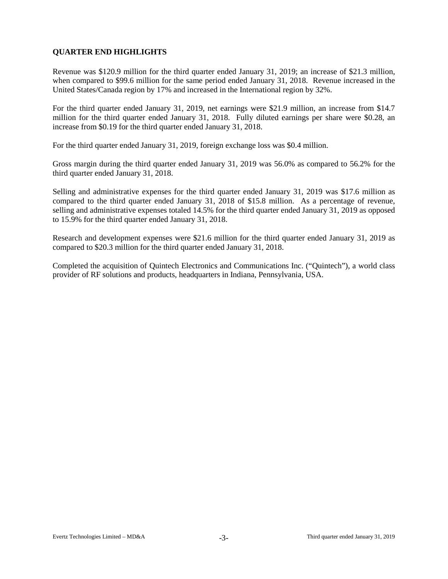# **QUARTER END HIGHLIGHTS**

Revenue was \$120.9 million for the third quarter ended January 31, 2019; an increase of \$21.3 million, when compared to \$99.6 million for the same period ended January 31, 2018. Revenue increased in the United States/Canada region by 17% and increased in the International region by 32%.

For the third quarter ended January 31, 2019, net earnings were \$21.9 million, an increase from \$14.7 million for the third quarter ended January 31, 2018. Fully diluted earnings per share were \$0.28, an increase from \$0.19 for the third quarter ended January 31, 2018.

For the third quarter ended January 31, 2019, foreign exchange loss was \$0.4 million.

Gross margin during the third quarter ended January 31, 2019 was 56.0% as compared to 56.2% for the third quarter ended January 31, 2018.

Selling and administrative expenses for the third quarter ended January 31, 2019 was \$17.6 million as compared to the third quarter ended January 31, 2018 of \$15.8 million. As a percentage of revenue, selling and administrative expenses totaled 14.5% for the third quarter ended January 31, 2019 as opposed to 15.9% for the third quarter ended January 31, 2018.

Research and development expenses were \$21.6 million for the third quarter ended January 31, 2019 as compared to \$20.3 million for the third quarter ended January 31, 2018.

Completed the acquisition of Quintech Electronics and Communications Inc. ("Quintech"), a world class provider of RF solutions and products, headquarters in Indiana, Pennsylvania, USA.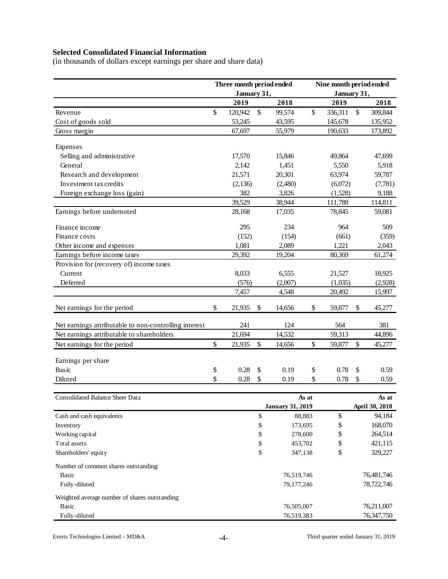# **Selected Consolidated Financial Information**

(in thousands of dollars except earnings per share and share data)

|                                                       | Three month period ended |               |                         | Nine month period ended |             |    |                |  |  |  |
|-------------------------------------------------------|--------------------------|---------------|-------------------------|-------------------------|-------------|----|----------------|--|--|--|
|                                                       | January 31,              |               |                         |                         | January 31, |    |                |  |  |  |
|                                                       | 2019                     |               | 2018                    |                         | 2019        |    | 2018           |  |  |  |
| Revenue                                               | \$<br>120,942            | \$            | 99,574                  | \$                      | 336,311     | \$ | 309,844        |  |  |  |
| Cost of goods sold                                    | 53,245                   |               | 43,595                  |                         | 145,678     |    | 135,952        |  |  |  |
| Gross margin                                          | 67,697                   |               | 55,979                  |                         | 190,633     |    | 173,892        |  |  |  |
|                                                       |                          |               |                         |                         |             |    |                |  |  |  |
| Expenses                                              |                          |               |                         |                         |             |    |                |  |  |  |
| Selling and administrative                            | 17,570                   |               | 15,846                  |                         | 49,864      |    | 47,699         |  |  |  |
| General                                               | 2,142                    |               | 1,451                   |                         | 5,550       |    | 5,918          |  |  |  |
| Research and development                              | 21,571                   |               | 20,301                  |                         | 63,974      |    | 59,787         |  |  |  |
| Investment tax credits                                | (2,136)                  |               | (2,480)                 |                         | (6,072)     |    | (7, 781)       |  |  |  |
| Foreign exchange loss (gain)                          | 382                      |               | 3,826                   |                         | (1,528)     |    | 9,188          |  |  |  |
|                                                       | 39,529                   |               | 38,944                  |                         | 111,788     |    | 114,811        |  |  |  |
| Earnings before undernoted                            | 28,168                   |               | 17,035                  |                         | 78,845      |    | 59,081         |  |  |  |
| Finance income                                        | 295                      |               | 234                     |                         | 964         |    | 509            |  |  |  |
| Finance costs                                         | (152)                    |               | (154)                   |                         | (661)       |    | (359)          |  |  |  |
| Other income and expenses                             | 1,081                    |               | 2,089                   |                         | 1,221       |    | 2,043          |  |  |  |
| Earnings before income taxes                          | 29,392                   |               | 19,204                  |                         | 80,369      |    | 61,274         |  |  |  |
| Provision for (recovery of) income taxes              |                          |               |                         |                         |             |    |                |  |  |  |
| Current                                               | 8,033                    |               | 6,555                   |                         | 21,527      |    | 18,925         |  |  |  |
| Deferred                                              | (576)                    |               | (2,007)                 |                         | (1,035)     |    | (2,928)        |  |  |  |
|                                                       | 7,457                    |               | 4,548                   |                         | 20,492      |    | 15,997         |  |  |  |
| Net earnings for the period                           | \$<br>21,935             | \$            | 14,656                  | \$                      | 59,877      | \$ | 45,277         |  |  |  |
|                                                       |                          |               |                         |                         |             |    |                |  |  |  |
| Net earnings attributable to non-controlling interest | 241                      |               | 124                     |                         | 564         |    | 381            |  |  |  |
| Net earnings attributable to shareholders             | 21,694                   |               | 14,532                  |                         | 59,313      |    | 44,896         |  |  |  |
| Net earnings for the period                           | \$<br>21,935             | $\mathsf{\$}$ | 14,656                  | \$                      | 59,877      | \$ | 45,277         |  |  |  |
| Earnings per share                                    |                          |               |                         |                         |             |    |                |  |  |  |
| Basic                                                 | \$<br>0.28               | \$            | 0.19                    | \$                      | 0.78        | \$ | 0.59           |  |  |  |
| Diluted                                               | \$<br>0.28               | \$            | 0.19                    | \$                      | 0.78        | \$ | 0.59           |  |  |  |
|                                                       |                          |               |                         |                         |             |    |                |  |  |  |
| <b>Consolidated Balance Sheet Data</b>                |                          |               |                         | As at                   |             |    | As at          |  |  |  |
|                                                       |                          |               | <b>January 31, 2019</b> |                         |             |    | April 30, 2018 |  |  |  |
| Cash and cash equivalents                             |                          | \$            | 88,883                  |                         | \$          |    | 94,184         |  |  |  |
| Inventory                                             |                          | \$            | 173,695                 |                         | \$          |    | 168,070        |  |  |  |
| Working capital                                       |                          | \$            | 278,600                 |                         | \$          |    | 264,514        |  |  |  |
| Total assets                                          |                          | \$            | 453,702                 |                         | \$          |    | 421,115        |  |  |  |
| Shareholders' equity                                  |                          | \$            | 347,138                 |                         | \$          |    | 329,227        |  |  |  |
| Number of common shares outstanding:                  |                          |               |                         |                         |             |    |                |  |  |  |
| Basic                                                 |                          |               | 76,519,746              |                         |             |    | 76,481,746     |  |  |  |
| Fully-diluted                                         |                          |               | 79,177,246              |                         |             |    | 78,722,746     |  |  |  |
| Weighted average number of shares outstanding:        |                          |               |                         |                         |             |    |                |  |  |  |
| Basic                                                 |                          |               | 76,505,007              |                         |             |    | 76,211,007     |  |  |  |
| Fully-diluted                                         |                          |               | 76,519,383              |                         |             |    | 76,347,750     |  |  |  |
|                                                       |                          |               |                         |                         |             |    |                |  |  |  |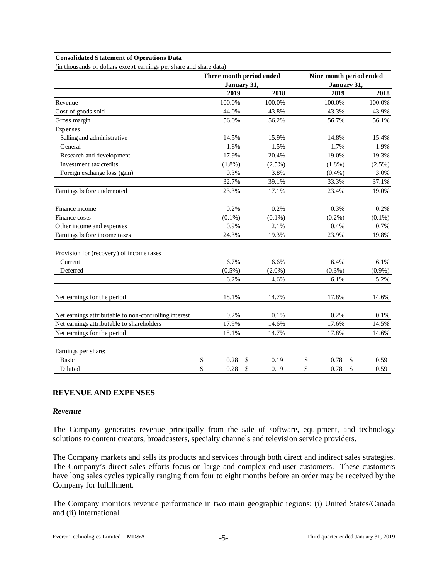#### **Consolidated Statement of Operations Data**

(in thousands of dollars except earnings per share and share data)

|                                                       | Three month period ended |             |           | Nine month period ended |            |
|-------------------------------------------------------|--------------------------|-------------|-----------|-------------------------|------------|
|                                                       |                          | January 31, |           | January 31,             |            |
|                                                       | 2019                     |             | 2018      | 2019                    | 2018       |
| Revenue                                               | 100.0%                   |             | 100.0%    | 100.0%                  | 100.0%     |
| Cost of goods sold                                    | 44.0%                    |             | 43.8%     | 43.3%                   | 43.9%      |
| Gross margin                                          | 56.0%                    |             | 56.2%     | 56.7%                   | 56.1%      |
| Expenses                                              |                          |             |           |                         |            |
| Selling and administrative                            | 14.5%                    |             | 15.9%     | 14.8%                   | 15.4%      |
| General                                               | 1.8%                     |             | 1.5%      | 1.7%                    | 1.9%       |
| Research and development                              | 17.9%                    |             | 20.4%     | 19.0%                   | 19.3%      |
| Investment tax credits                                | $(1.8\%)$                |             | $(2.5\%)$ | $(1.8\%)$               | $(2.5\%)$  |
| Foreign exchange loss (gain)                          | 0.3%                     |             | 3.8%      | $(0.4\%)$               | 3.0%       |
|                                                       | 32.7%                    |             | 39.1%     | 33.3%                   | 37.1%      |
| Earnings before undernoted                            | 23.3%                    |             | 17.1%     | 23.4%                   | 19.0%      |
| Finance income                                        | 0.2%                     |             | 0.2%      | 0.3%                    | 0.2%       |
| Finance costs                                         | $(0.1\%)$                |             | $(0.1\%)$ | $(0.2\%)$               | $(0.1\%)$  |
| Other income and expenses                             | 0.9%                     |             | 2.1%      | 0.4%                    | 0.7%       |
| Earnings before income taxes                          | 24.3%                    |             | 19.3%     | 23.9%                   | 19.8%      |
| Provision for (recovery) of income taxes              |                          |             |           |                         |            |
| Current                                               | 6.7%                     |             | 6.6%      | 6.4%                    | 6.1%       |
| Deferred                                              | $(0.5\%)$                |             | $(2.0\%)$ | $(0.3\%)$               | $(0.9\%)$  |
|                                                       | 6.2%                     |             | 4.6%      | 6.1%                    | 5.2%       |
| Net earnings for the period                           | 18.1%                    |             | 14.7%     | 17.8%                   | 14.6%      |
| Net earnings attributable to non-controlling interest | 0.2%                     |             | 0.1%      | 0.2%                    | 0.1%       |
| Net earnings attributable to shareholders             | 17.9%                    |             | 14.6%     | 17.6%                   | 14.5%      |
| Net earnings for the period                           | 18.1%                    |             | 14.7%     | 17.8%                   | 14.6%      |
| Earnings per share:                                   |                          |             |           |                         |            |
| <b>Basic</b>                                          | \$<br>0.28               | \$          | 0.19      | \$<br>0.78              | \$<br>0.59 |
| Diluted                                               | \$<br>0.28               | \$          | 0.19      | \$<br>0.78              | \$<br>0.59 |

#### **REVENUE AND EXPENSES**

#### *Revenue*

The Company generates revenue principally from the sale of software, equipment, and technology solutions to content creators, broadcasters, specialty channels and television service providers.

The Company markets and sells its products and services through both direct and indirect sales strategies. The Company's direct sales efforts focus on large and complex end-user customers. These customers have long sales cycles typically ranging from four to eight months before an order may be received by the Company for fulfillment.

The Company monitors revenue performance in two main geographic regions: (i) United States/Canada and (ii) International.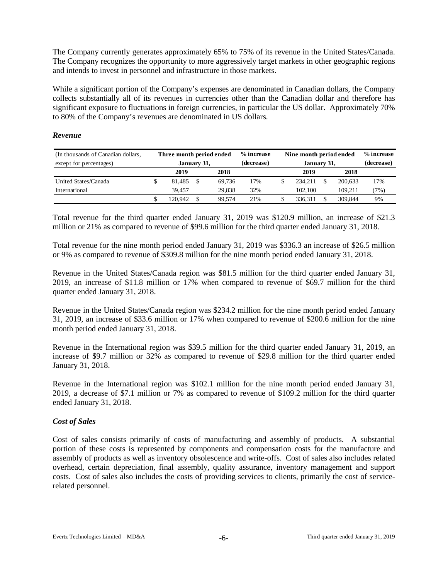The Company currently generates approximately 65% to 75% of its revenue in the United States/Canada. The Company recognizes the opportunity to more aggressively target markets in other geographic regions and intends to invest in personnel and infrastructure in those markets.

While a significant portion of the Company's expenses are denominated in Canadian dollars, the Company collects substantially all of its revenues in currencies other than the Canadian dollar and therefore has significant exposure to fluctuations in foreign currencies, in particular the US dollar. Approximately 70% to 80% of the Company's revenues are denominated in US dollars.

#### *Revenue*

| (In thousands of Canadian dollars, | Three month period ended |  |        | % increase | Nine month period ended | % increase |            |         |
|------------------------------------|--------------------------|--|--------|------------|-------------------------|------------|------------|---------|
| except for percentages)            | January 31,              |  |        | (decrease) | January 31,             |            | (decrease) |         |
|                                    | 2019<br>2018             |  |        |            | 2019                    |            | 2018       |         |
| United States/Canada               | 81.485                   |  | 69.736 | 17%        | 234.211                 |            | 200.633    | 17%     |
| International                      | 39.457                   |  | 29.838 | 32%        | 102.100                 |            | 109.211    | $7\%$ ) |
|                                    | 20.942                   |  | 99.574 | 21%        | 336.311                 |            | 309.844    | 9%      |

Total revenue for the third quarter ended January 31, 2019 was \$120.9 million, an increase of \$21.3 million or 21% as compared to revenue of \$99.6 million for the third quarter ended January 31, 2018.

Total revenue for the nine month period ended January 31, 2019 was \$336.3 an increase of \$26.5 million or 9% as compared to revenue of \$309.8 million for the nine month period ended January 31, 2018.

Revenue in the United States/Canada region was \$81.5 million for the third quarter ended January 31, 2019, an increase of \$11.8 million or 17% when compared to revenue of \$69.7 million for the third quarter ended January 31, 2018.

Revenue in the United States/Canada region was \$234.2 million for the nine month period ended January 31, 2019, an increase of \$33.6 million or 17% when compared to revenue of \$200.6 million for the nine month period ended January 31, 2018.

Revenue in the International region was \$39.5 million for the third quarter ended January 31, 2019, an increase of \$9.7 million or 32% as compared to revenue of \$29.8 million for the third quarter ended January 31, 2018.

Revenue in the International region was \$102.1 million for the nine month period ended January 31, 2019, a decrease of \$7.1 million or 7% as compared to revenue of \$109.2 million for the third quarter ended January 31, 2018.

# *Cost of Sales*

Cost of sales consists primarily of costs of manufacturing and assembly of products. A substantial portion of these costs is represented by components and compensation costs for the manufacture and assembly of products as well as inventory obsolescence and write-offs. Cost of sales also includes related overhead, certain depreciation, final assembly, quality assurance, inventory management and support costs. Cost of sales also includes the costs of providing services to clients, primarily the cost of servicerelated personnel.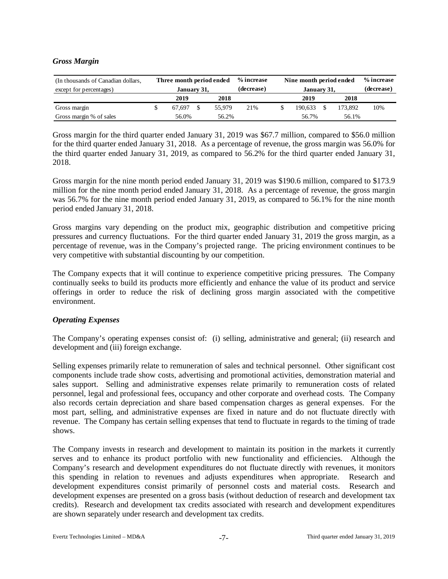# *Gross Margin*

| (In thousands of Canadian dollars, | Three month period ended |  |        | % increase | Nine month period ended |            | % increase |
|------------------------------------|--------------------------|--|--------|------------|-------------------------|------------|------------|
| except for percentages)            | January 31,              |  |        | (decrease) | January 31,             | (decrease) |            |
|                                    | 2019<br>2018             |  |        |            | 2019                    | 2018       |            |
| Gross margin                       | 67.697                   |  | 55.979 | 21%        | 190.633                 | 173.892    | 10%        |
| Gross margin % of sales            | 56.0%                    |  | 56.2%  |            | 56.7%                   | 56.1%      |            |

Gross margin for the third quarter ended January 31, 2019 was \$67.7 million, compared to \$56.0 million for the third quarter ended January 31, 2018. As a percentage of revenue, the gross margin was 56.0% for the third quarter ended January 31, 2019, as compared to 56.2% for the third quarter ended January 31, 2018.

Gross margin for the nine month period ended January 31, 2019 was \$190.6 million, compared to \$173.9 million for the nine month period ended January 31, 2018. As a percentage of revenue, the gross margin was 56.7% for the nine month period ended January 31, 2019, as compared to 56.1% for the nine month period ended January 31, 2018.

Gross margins vary depending on the product mix, geographic distribution and competitive pricing pressures and currency fluctuations. For the third quarter ended January 31, 2019 the gross margin, as a percentage of revenue, was in the Company's projected range. The pricing environment continues to be very competitive with substantial discounting by our competition.

The Company expects that it will continue to experience competitive pricing pressures. The Company continually seeks to build its products more efficiently and enhance the value of its product and service offerings in order to reduce the risk of declining gross margin associated with the competitive environment.

# *Operating Expenses*

The Company's operating expenses consist of: (i) selling, administrative and general; (ii) research and development and (iii) foreign exchange.

Selling expenses primarily relate to remuneration of sales and technical personnel. Other significant cost components include trade show costs, advertising and promotional activities, demonstration material and sales support. Selling and administrative expenses relate primarily to remuneration costs of related personnel, legal and professional fees, occupancy and other corporate and overhead costs. The Company also records certain depreciation and share based compensation charges as general expenses. For the most part, selling, and administrative expenses are fixed in nature and do not fluctuate directly with revenue. The Company has certain selling expenses that tend to fluctuate in regards to the timing of trade shows.

The Company invests in research and development to maintain its position in the markets it currently serves and to enhance its product portfolio with new functionality and efficiencies. Although the Company's research and development expenditures do not fluctuate directly with revenues, it monitors this spending in relation to revenues and adjusts expenditures when appropriate. Research and development expenditures consist primarily of personnel costs and material costs. Research and development expenses are presented on a gross basis (without deduction of research and development tax credits). Research and development tax credits associated with research and development expenditures are shown separately under research and development tax credits.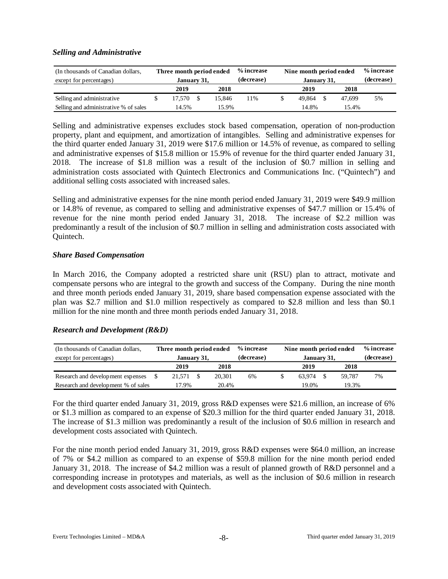# *Selling and Administrative*

| (In thousands of Canadian dollars,<br>except for percentages) |                | Three month period ended<br>January 31, |      |        | % increase<br>(decrease) |      | Nine month period ended<br>January 31, |      |        | % increase<br>(decrease) |
|---------------------------------------------------------------|----------------|-----------------------------------------|------|--------|--------------------------|------|----------------------------------------|------|--------|--------------------------|
|                                                               |                | 2019                                    | 2018 |        |                          | 2019 |                                        | 2018 |        |                          |
| Selling and administrative                                    |                | 17.570                                  |      | 15.846 | 1%                       |      | 49.864                                 |      | 47.699 | 5%                       |
| Selling and administrative % of sales                         | 14.5%<br>15.9% |                                         |      |        | 14.8%<br>15.4%           |      |                                        |      |        |                          |

Selling and administrative expenses excludes stock based compensation, operation of non-production property, plant and equipment, and amortization of intangibles. Selling and administrative expenses for the third quarter ended January 31, 2019 were \$17.6 million or 14.5% of revenue, as compared to selling and administrative expenses of \$15.8 million or 15.9% of revenue for the third quarter ended January 31, 2018. The increase of \$1.8 million was a result of the inclusion of \$0.7 million in selling and administration costs associated with Quintech Electronics and Communications Inc. ("Quintech") and additional selling costs associated with increased sales.

Selling and administrative expenses for the nine month period ended January 31, 2019 were \$49.9 million or 14.8% of revenue, as compared to selling and administrative expenses of \$47.7 million or 15.4% of revenue for the nine month period ended January 31, 2018. The increase of \$2.2 million was predominantly a result of the inclusion of \$0.7 million in selling and administration costs associated with Quintech.

# *Share Based Compensation*

In March 2016, the Company adopted a restricted share unit (RSU) plan to attract, motivate and compensate persons who are integral to the growth and success of the Company. During the nine month and three month periods ended January 31, 2019, share based compensation expense associated with the plan was \$2.7 million and \$1.0 million respectively as compared to \$2.8 million and less than \$0.1 million for the nine month and three month periods ended January 31, 2018.

# *Research and Development (R&D)*

| (In thousands of Canadian dollars,  | Three month period ended |             |      |        | % increase | Nine month period ended |            | % increase |    |
|-------------------------------------|--------------------------|-------------|------|--------|------------|-------------------------|------------|------------|----|
| except for percentages)             |                          | January 31, |      |        | (decrease) | January 31,             | (decrease) |            |    |
|                                     |                          | 2019        | 2018 |        | 2019       | 2018                    |            |            |    |
| Research and development expenses   |                          | 21.571      |      | 20.301 | 6%         | 63.974                  |            | 59.787     | 7% |
| Research and development % of sales |                          | 17.9%       |      | 20.4%  |            | 19.0%                   |            | 19.3%      |    |

For the third quarter ended January 31, 2019, gross R&D expenses were \$21.6 million, an increase of 6% or \$1.3 million as compared to an expense of \$20.3 million for the third quarter ended January 31, 2018. The increase of \$1.3 million was predominantly a result of the inclusion of \$0.6 million in research and development costs associated with Quintech.

For the nine month period ended January 31, 2019, gross R&D expenses were \$64.0 million, an increase of 7% or \$4.2 million as compared to an expense of \$59.8 million for the nine month period ended January 31, 2018. The increase of \$4.2 million was a result of planned growth of R&D personnel and a corresponding increase in prototypes and materials, as well as the inclusion of \$0.6 million in research and development costs associated with Quintech.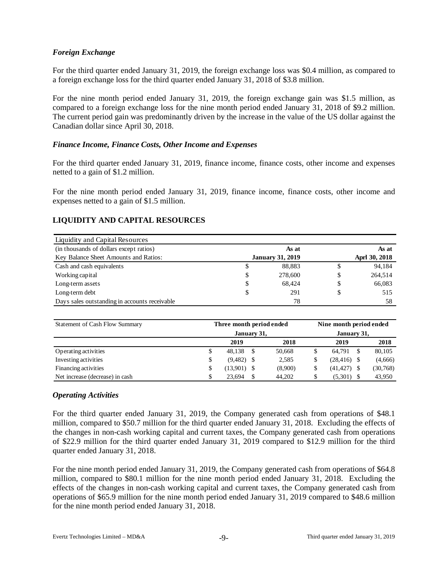# *Foreign Exchange*

For the third quarter ended January 31, 2019, the foreign exchange loss was \$0.4 million, as compared to a foreign exchange loss for the third quarter ended January 31, 2018 of \$3.8 million.

For the nine month period ended January 31, 2019, the foreign exchange gain was \$1.5 million, as compared to a foreign exchange loss for the nine month period ended January 31, 2018 of \$9.2 million. The current period gain was predominantly driven by the increase in the value of the US dollar against the Canadian dollar since April 30, 2018.

# *Finance Income, Finance Costs, Other Income and Expenses*

For the third quarter ended January 31, 2019, finance income, finance costs, other income and expenses netted to a gain of \$1.2 million.

For the nine month period ended January 31, 2019, finance income, finance costs, other income and expenses netted to a gain of \$1.5 million.

# **LIQUIDITY AND CAPITAL RESOURCES**

| Liquidity and Capital Resources               |                         |               |
|-----------------------------------------------|-------------------------|---------------|
| (in thousands of dollars except ratios)       | As at                   | As at         |
| Key Balance Sheet Amounts and Ratios:         | <b>January 31, 2019</b> | Aprl 30, 2018 |
| Cash and cash equivalents                     | \$<br>88,883            | \$<br>94,184  |
| Working capital                               | \$<br>278,600           | \$<br>264,514 |
| Long-term assets                              | \$<br>68.424            | \$<br>66,083  |
| Long-term debt                                | \$<br>291               | \$<br>515     |
| Days sales outstanding in accounts receivable | 78                      | 58            |

| Statement of Cash Flow Summary  | Three month period ended |             |         |  | Nine month period ended |    |           |  |  |  |  |
|---------------------------------|--------------------------|-------------|---------|--|-------------------------|----|-----------|--|--|--|--|
|                                 | January 31,              | January 31, |         |  |                         |    |           |  |  |  |  |
|                                 | 2019                     |             | 2018    |  | 2019                    |    | 2018      |  |  |  |  |
| Operating activities            | \$<br>48.138             | S           | 50,668  |  | 64.791                  | -S | 80,105    |  |  |  |  |
| Investing activities            | \$<br>$(9,482)$ \$       |             | 2,585   |  | (28, 416)               |    | (4,666)   |  |  |  |  |
| Financing activities            | \$<br>(13,901)           |             | (8,900) |  | $(41, 427)$ \$          |    | (30, 768) |  |  |  |  |
| Net increase (decrease) in cash | \$<br>23.694             |             | 44,202  |  | (5,301)                 | -S | 43,950    |  |  |  |  |

#### *Operating Activities*

For the third quarter ended January 31, 2019, the Company generated cash from operations of \$48.1 million, compared to \$50.7 million for the third quarter ended January 31, 2018. Excluding the effects of the changes in non-cash working capital and current taxes, the Company generated cash from operations of \$22.9 million for the third quarter ended January 31, 2019 compared to \$12.9 million for the third quarter ended January 31, 2018.

For the nine month period ended January 31, 2019, the Company generated cash from operations of \$64.8 million, compared to \$80.1 million for the nine month period ended January 31, 2018. Excluding the effects of the changes in non-cash working capital and current taxes, the Company generated cash from operations of \$65.9 million for the nine month period ended January 31, 2019 compared to \$48.6 million for the nine month period ended January 31, 2018.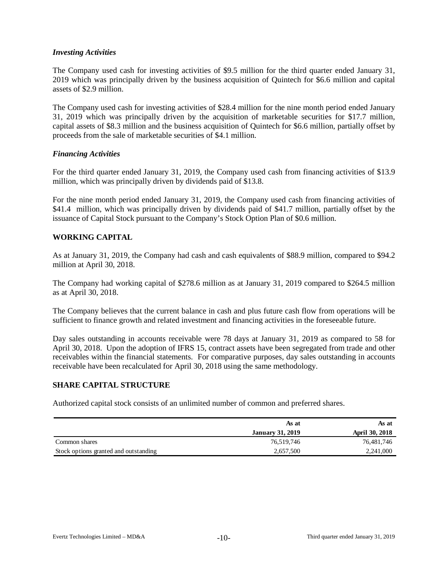#### *Investing Activities*

The Company used cash for investing activities of \$9.5 million for the third quarter ended January 31, 2019 which was principally driven by the business acquisition of Quintech for \$6.6 million and capital assets of \$2.9 million.

The Company used cash for investing activities of \$28.4 million for the nine month period ended January 31, 2019 which was principally driven by the acquisition of marketable securities for \$17.7 million, capital assets of \$8.3 million and the business acquisition of Quintech for \$6.6 million, partially offset by proceeds from the sale of marketable securities of \$4.1 million.

#### *Financing Activities*

For the third quarter ended January 31, 2019, the Company used cash from financing activities of \$13.9 million, which was principally driven by dividends paid of \$13.8.

For the nine month period ended January 31, 2019, the Company used cash from financing activities of \$41.4 million, which was principally driven by dividends paid of \$41.7 million, partially offset by the issuance of Capital Stock pursuant to the Company's Stock Option Plan of \$0.6 million.

# **WORKING CAPITAL**

As at January 31, 2019, the Company had cash and cash equivalents of \$88.9 million, compared to \$94.2 million at April 30, 2018.

The Company had working capital of \$278.6 million as at January 31, 2019 compared to \$264.5 million as at April 30, 2018.

The Company believes that the current balance in cash and plus future cash flow from operations will be sufficient to finance growth and related investment and financing activities in the foreseeable future.

Day sales outstanding in accounts receivable were 78 days at January 31, 2019 as compared to 58 for April 30, 2018. Upon the adoption of IFRS 15, contract assets have been segregated from trade and other receivables within the financial statements. For comparative purposes, day sales outstanding in accounts receivable have been recalculated for April 30, 2018 using the same methodology.

#### **SHARE CAPITAL STRUCTURE**

Authorized capital stock consists of an unlimited number of common and preferred shares.

|                                       | As at                   | As at          |
|---------------------------------------|-------------------------|----------------|
|                                       | <b>January 31, 2019</b> | April 30, 2018 |
| Common shares                         | 76,519,746              | 76,481,746     |
| Stock options granted and outstanding | 2,657,500               | 2,241,000      |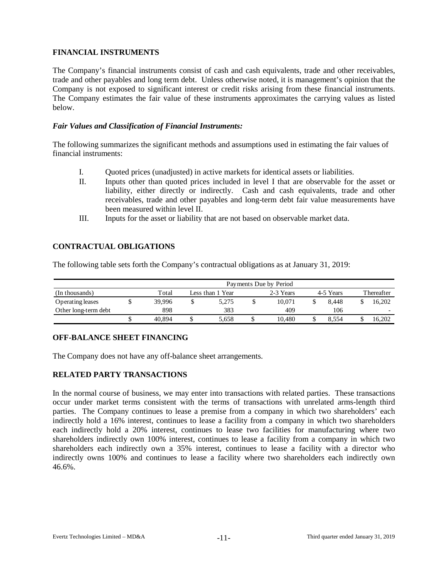# **FINANCIAL INSTRUMENTS**

The Company's financial instruments consist of cash and cash equivalents, trade and other receivables, trade and other payables and long term debt. Unless otherwise noted, it is management's opinion that the Company is not exposed to significant interest or credit risks arising from these financial instruments. The Company estimates the fair value of these instruments approximates the carrying values as listed below.

#### *Fair Values and Classification of Financial Instruments:*

The following summarizes the significant methods and assumptions used in estimating the fair values of financial instruments:

- I. Quoted prices (unadjusted) in active markets for identical assets or liabilities.
- II. Inputs other than quoted prices included in level I that are observable for the asset or liability, either directly or indirectly. Cash and cash equivalents, trade and other receivables, trade and other payables and long-term debt fair value measurements have been measured within level II.
- III. Inputs for the asset or liability that are not based on observable market data.

# **CONTRACTUAL OBLIGATIONS**

The following table sets forth the Company's contractual obligations as at January 31, 2019:

|                      | Payments Due by Period |                                            |       |  |        |  |       |  |                          |  |  |  |  |  |
|----------------------|------------------------|--------------------------------------------|-------|--|--------|--|-------|--|--------------------------|--|--|--|--|--|
| (In thousands)       | Total                  | 2-3 Years<br>4-5 Years<br>Less than 1 Year |       |  |        |  |       |  |                          |  |  |  |  |  |
| Operating leases     | 39.996                 |                                            | 5.275 |  | 10.071 |  | 8.448 |  | 16.202                   |  |  |  |  |  |
| Other long-term debt | 898                    |                                            | 383   |  | 409    |  | 106   |  | $\overline{\phantom{0}}$ |  |  |  |  |  |
|                      | 40.894                 | J                                          | 5.658 |  | 10.480 |  | 8.554 |  | 16.202                   |  |  |  |  |  |

# **OFF-BALANCE SHEET FINANCING**

The Company does not have any off-balance sheet arrangements.

# **RELATED PARTY TRANSACTIONS**

In the normal course of business, we may enter into transactions with related parties. These transactions occur under market terms consistent with the terms of transactions with unrelated arms-length third parties. The Company continues to lease a premise from a company in which two shareholders' each indirectly hold a 16% interest, continues to lease a facility from a company in which two shareholders each indirectly hold a 20% interest, continues to lease two facilities for manufacturing where two shareholders indirectly own 100% interest, continues to lease a facility from a company in which two shareholders each indirectly own a 35% interest, continues to lease a facility with a director who indirectly owns 100% and continues to lease a facility where two shareholders each indirectly own 46.6%.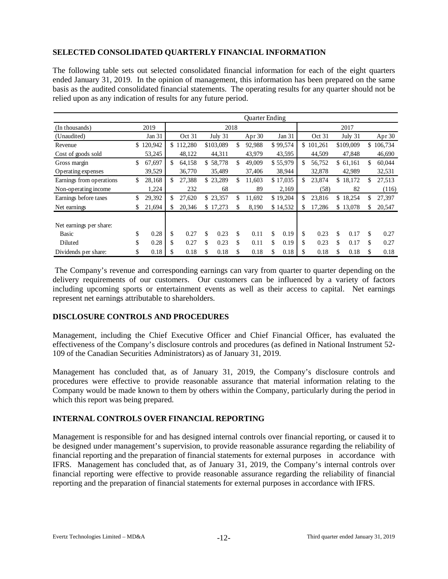# **SELECTED CONSOLIDATED QUARTERLY FINANCIAL INFORMATION**

The following table sets out selected consolidated financial information for each of the eight quarters ended January 31, 2019. In the opinion of management, this information has been prepared on the same basis as the audited consolidated financial statements. The operating results for any quarter should not be relied upon as any indication of results for any future period.

|                          |               |              |            | Quarter Ending |            |     |         |              |               |
|--------------------------|---------------|--------------|------------|----------------|------------|-----|---------|--------------|---------------|
| (In thousands)           | 2019          |              | 2018       |                |            |     |         | 2017         |               |
| (Unaudited)              | Jan 31        | Oct 31       | July 31    | Apr 30         | Jan $31$   |     | Oct 31  | July 31      | Apr 30        |
| Revenue                  | \$<br>120,942 | \$<br>12,280 | \$103,089  | \$<br>92,988   | \$99,574   | \$. | 101,261 | \$109,009    | \$<br>106,734 |
| Cost of goods sold       | 53,245        | 48,122       | 44,311     | 43,979         | 43,595     |     | 44,509  | 47,848       | 46,690        |
| Gross margin             | \$<br>67,697  | \$<br>64,158 | \$58,778   | \$<br>49,009   | \$55,979   | \$  | 56,752  | \$61,161     | \$<br>60,044  |
| Operating expenses       | 39,529        | 36,770       | 35,489     | 37,406         | 38,944     |     | 32,878  | 42,989       | 32,531        |
| Earnings from operations | \$<br>28,168  | \$<br>27,388 | \$23,289   | \$<br>11,603   | \$17,035   | \$  | 23,874  | \$<br>18,172 | \$<br>27,513  |
| Non-operating income     | 1,224         | 232          | 68         | 89             | 2,169      |     | (58)    | 82           | (116)         |
| Earnings before taxes    | \$<br>29,392  | \$<br>27,620 | \$23,357   | \$<br>11.692   | \$19,204   | \$  | 23,816  | \$18,254     | \$<br>27,397  |
| Net earnings             | \$<br>21,694  | 20,346       | \$17,273   | \$<br>8,190    | \$14,532   | \$  | 17,286  | \$13,078     | \$<br>20,547  |
|                          |               |              |            |                |            |     |         |              |               |
| Net earnings per share:  |               |              |            |                |            |     |         |              |               |
| Basic                    | \$<br>0.28    | \$<br>0.27   | \$<br>0.23 | \$<br>0.11     | \$<br>0.19 | \$  | 0.23    | \$<br>0.17   | \$<br>0.27    |
| Diluted                  | \$<br>0.28    | \$<br>0.27   | \$<br>0.23 | \$<br>0.11     | \$<br>0.19 | \$  | 0.23    | \$<br>0.17   | \$<br>0.27    |
| Dividends per share:     | \$<br>0.18    | 0.18         | \$<br>0.18 | \$<br>0.18     | \$<br>0.18 | \$  | 0.18    | \$<br>0.18   | \$<br>0.18    |

The Company's revenue and corresponding earnings can vary from quarter to quarter depending on the delivery requirements of our customers. Our customers can be influenced by a variety of factors including upcoming sports or entertainment events as well as their access to capital. Net earnings represent net earnings attributable to shareholders.

# **DISCLOSURE CONTROLS AND PROCEDURES**

Management, including the Chief Executive Officer and Chief Financial Officer, has evaluated the effectiveness of the Company's disclosure controls and procedures (as defined in National Instrument 52- 109 of the Canadian Securities Administrators) as of January 31, 2019.

Management has concluded that, as of January 31, 2019, the Company's disclosure controls and procedures were effective to provide reasonable assurance that material information relating to the Company would be made known to them by others within the Company, particularly during the period in which this report was being prepared.

# **INTERNAL CONTROLS OVER FINANCIAL REPORTING**

Management is responsible for and has designed internal controls over financial reporting, or caused it to be designed under management's supervision, to provide reasonable assurance regarding the reliability of financial reporting and the preparation of financial statements for external purposes in accordance with IFRS. Management has concluded that, as of January 31, 2019, the Company's internal controls over financial reporting were effective to provide reasonable assurance regarding the reliability of financial reporting and the preparation of financial statements for external purposes in accordance with IFRS.